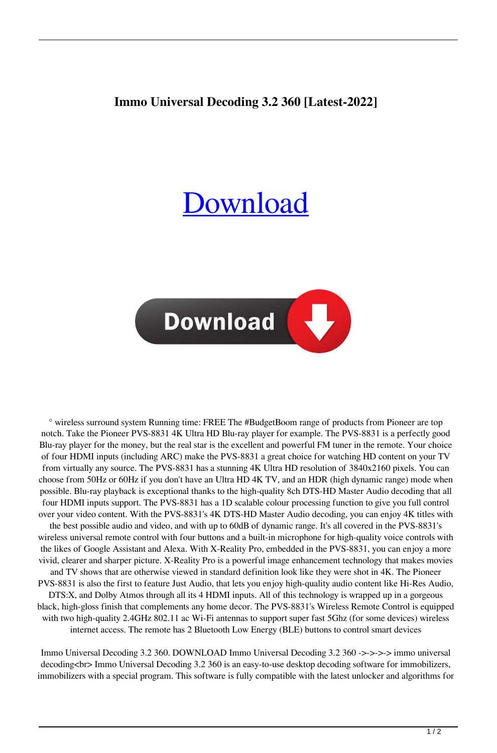## **Immo Universal Decoding 3.2 360 [Latest-2022]**

## **[Download](http://evacdir.com/ehow/lextek?finnish=ZG93bmxvYWR8NVdGYzNrMWZId3hOalV5TkRZek1EVXdmSHd5TlRjMGZId29UU2tnY21WaFpDMWliRzluSUZ0R1lYTjBJRWRGVGww==&lawmaking=SW1tbyB1bml2ZXJzYWwgZGVjb2RpbmcgMy4yIDM2MASW1)**



° wireless surround system Running time: FREE The #BudgetBoom range of products from Pioneer are top notch. Take the Pioneer PVS-8831 4K Ultra HD Blu-ray player for example. The PVS-8831 is a perfectly good Blu-ray player for the money, but the real star is the excellent and powerful FM tuner in the remote. Your choice of four HDMI inputs (including ARC) make the PVS-8831 a great choice for watching HD content on your TV from virtually any source. The PVS-8831 has a stunning 4K Ultra HD resolution of 3840x2160 pixels. You can choose from 50Hz or 60Hz if you don't have an Ultra HD 4K TV, and an HDR (high dynamic range) mode when possible. Blu-ray playback is exceptional thanks to the high-quality 8ch DTS-HD Master Audio decoding that all four HDMI inputs support. The PVS-8831 has a 1D scalable colour processing function to give you full control over your video content. With the PVS-8831's 4K DTS-HD Master Audio decoding, you can enjoy 4K titles with the best possible audio and video, and with up to 60dB of dynamic range. It's all covered in the PVS-8831's wireless universal remote control with four buttons and a built-in microphone for high-quality voice controls with the likes of Google Assistant and Alexa. With X-Reality Pro, embedded in the PVS-8831, you can enjoy a more vivid, clearer and sharper picture. X-Reality Pro is a powerful image enhancement technology that makes movies and TV shows that are otherwise viewed in standard definition look like they were shot in 4K. The Pioneer PVS-8831 is also the first to feature Just Audio, that lets you enjoy high-quality audio content like Hi-Res Audio, DTS:X, and Dolby Atmos through all its 4 HDMI inputs. All of this technology is wrapped up in a gorgeous black, high-gloss finish that complements any home decor. The PVS-8831's Wireless Remote Control is equipped with two high-quality 2.4GHz 802.11 ac Wi-Fi antennas to support super fast 5Ghz (for some devices) wireless internet access. The remote has 2 Bluetooth Low Energy (BLE) buttons to control smart devices

Immo Universal Decoding 3.2 360. DOWNLOAD Immo Universal Decoding 3.2 360 ->->->-> immo universal decoding<br> Immo Universal Decoding 3.2 360 is an easy-to-use desktop decoding software for immobilizers, immobilizers with a special program. This software is fully compatible with the latest unlocker and algorithms for